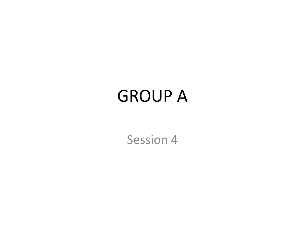### GROUP A

Session 4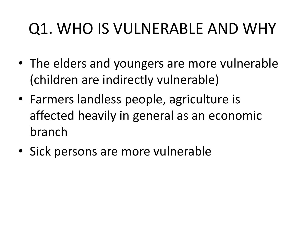- The elders and youngers are more vulnerable (children are indirectly vulnerable)
- Farmers landless people, agriculture is affected heavily in general as an economic branch
- Sick persons are more vulnerable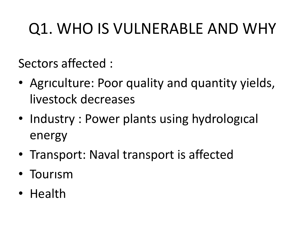Sectors affected :

- Agrıculture: Poor quality and quantity yields, livestock decreases
- Industry: Power plants using hydrological energy
- Transport: Naval transport is affected
- Tourısm
- Health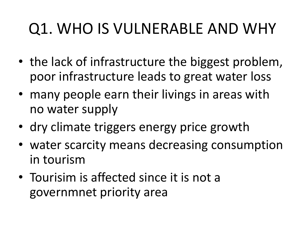- the lack of infrastructure the biggest problem, poor infrastructure leads to great water loss
- many people earn their livings in areas with no water supply
- dry climate triggers energy price growth
- water scarcity means decreasing consumption in tourism
- Tourisim is affected since it is not a governmnet priority area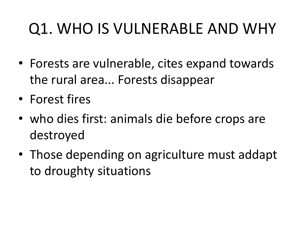- Forests are vulnerable, cites expand towards the rural area... Forests disappear
- Forest fires
- who dies first: animals die before crops are destroyed
- Those depending on agriculture must addapt to droughty situations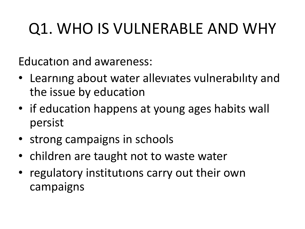Educatıon and awareness:

- Learnıng about water allevıates vulnerabılıty and the issue by education
- if education happens at young ages habits wall persist
- strong campaigns in schools
- children are taught not to waste water
- regulatory institutions carry out their own campaigns